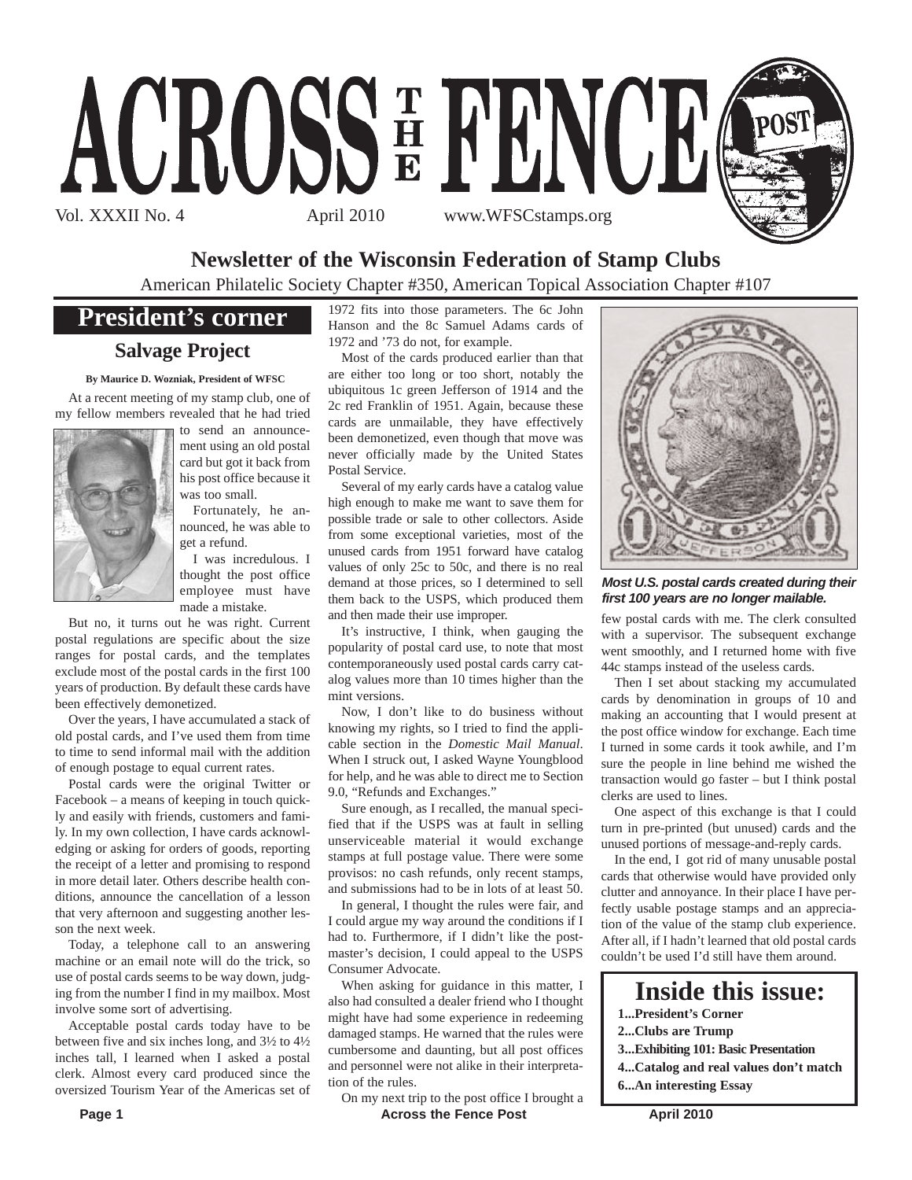

#### **Newsletter of the Wisconsin Federation of Stamp Clubs**

American Philatelic Society Chapter #350, American Topical Association Chapter #107

#### **President's corner**

#### **Salvage Project**

**By Maurice D. Wozniak, President of WFSC**

At a recent meeting of my stamp club, one of my fellow members revealed that he had tried



to send an announcement using an old postal card but got it back from his post office because it was too small.

Fortunately, he announced, he was able to get a refund.

I was incredulous. I thought the post office employee must have made a mistake.

But no, it turns out he was right. Current postal regulations are specific about the size ranges for postal cards, and the templates exclude most of the postal cards in the first 100 years of production. By default these cards have been effectively demonetized.

Over the years, I have accumulated a stack of old postal cards, and I've used them from time to time to send informal mail with the addition of enough postage to equal current rates.

Postal cards were the original Twitter or Facebook – a means of keeping in touch quickly and easily with friends, customers and family. In my own collection, I have cards acknowledging or asking for orders of goods, reporting the receipt of a letter and promising to respond in more detail later. Others describe health conditions, announce the cancellation of a lesson that very afternoon and suggesting another lesson the next week.

Today, a telephone call to an answering machine or an email note will do the trick, so use of postal cards seems to be way down, judging from the number I find in my mailbox. Most involve some sort of advertising.

Acceptable postal cards today have to be between five and six inches long, and 3½ to 4½ inches tall, I learned when I asked a postal clerk. Almost every card produced since the oversized Tourism Year of the Americas set of

1972 fits into those parameters. The 6c John Hanson and the 8c Samuel Adams cards of 1972 and '73 do not, for example.

Most of the cards produced earlier than that are either too long or too short, notably the ubiquitous 1c green Jefferson of 1914 and the 2c red Franklin of 1951. Again, because these cards are unmailable, they have effectively been demonetized, even though that move was never officially made by the United States Postal Service.

Several of my early cards have a catalog value high enough to make me want to save them for possible trade or sale to other collectors. Aside from some exceptional varieties, most of the unused cards from 1951 forward have catalog values of only 25c to 50c, and there is no real demand at those prices, so I determined to sell them back to the USPS, which produced them and then made their use improper.

It's instructive, I think, when gauging the popularity of postal card use, to note that most contemporaneously used postal cards carry catalog values more than 10 times higher than the mint versions.

Now, I don't like to do business without knowing my rights, so I tried to find the applicable section in the *Domestic Mail Manual*. When I struck out, I asked Wayne Youngblood for help, and he was able to direct me to Section 9.0, "Refunds and Exchanges."

Sure enough, as I recalled, the manual specified that if the USPS was at fault in selling unserviceable material it would exchange stamps at full postage value. There were some provisos: no cash refunds, only recent stamps, and submissions had to be in lots of at least 50.

In general, I thought the rules were fair, and I could argue my way around the conditions if I had to. Furthermore, if I didn't like the postmaster's decision, I could appeal to the USPS Consumer Advocate.

When asking for guidance in this matter, I also had consulted a dealer friend who I thought might have had some experience in redeeming damaged stamps. He warned that the rules were cumbersome and daunting, but all post offices and personnel were not alike in their interpretation of the rules.

**Page 1** Across the Fence Post April 2010 On my next trip to the post office I brought a



One aspect of this exchange is that I could turn in pre-printed (but unused) cards and the unused portions of message-and-reply cards.

few postal cards with me. The clerk consulted with a supervisor. The subsequent exchange

*Most U.S. postal cards created during their first 100 years are no longer mailable.*

In the end, I got rid of many unusable postal cards that otherwise would have provided only clutter and annoyance. In their place I have perfectly usable postage stamps and an appreciation of the value of the stamp club experience. After all, if I hadn't learned that old postal cards couldn't be used I'd still have them around.

## **Inside this issue:**

- **1...President's Corner**
- **2...Clubs are Trump**
- **3...Exhibiting 101: Basic Presentation**
- **4...Catalog and real values don't match 6...An interesting Essay**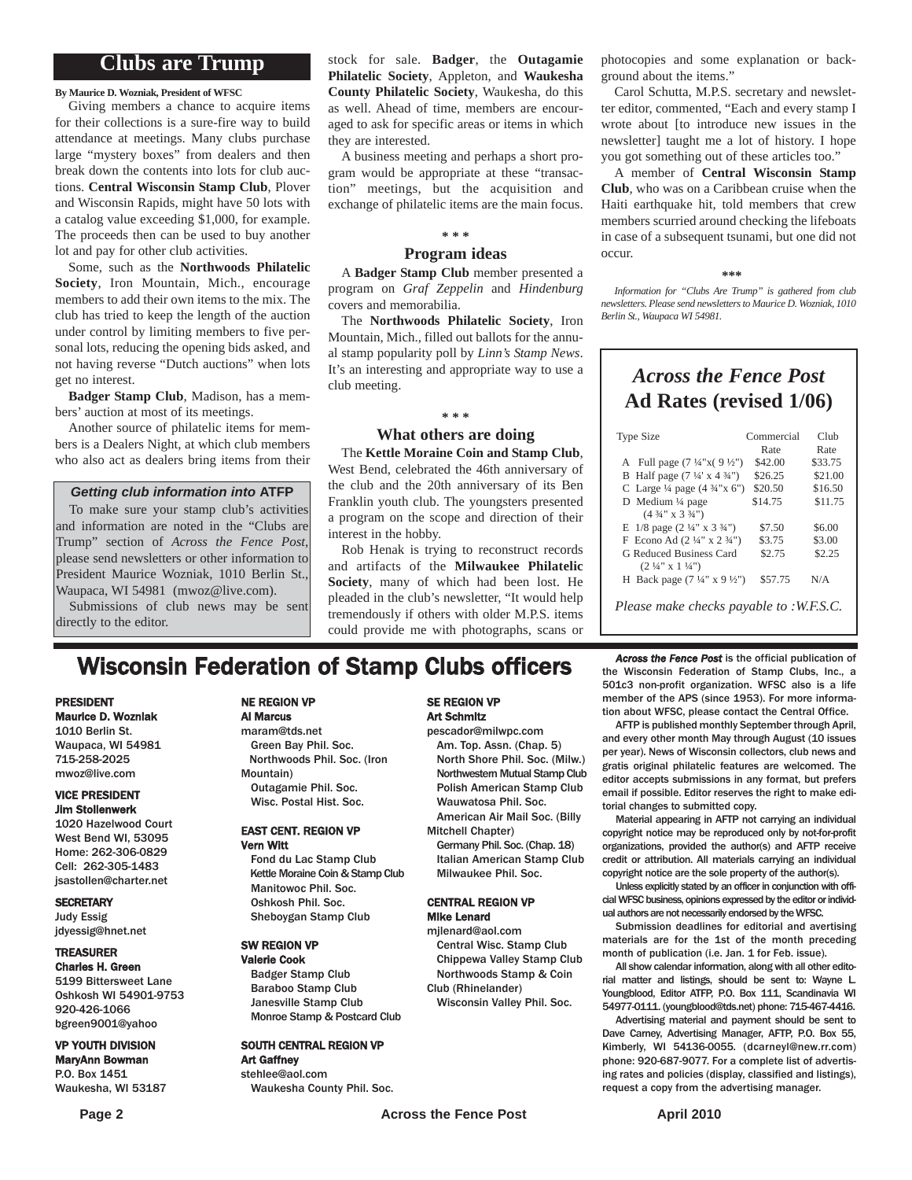#### **Clubs are Trump**

**By Maurice D. Wozniak, President of WFSC**

Giving members a chance to acquire items for their collections is a sure-fire way to build attendance at meetings. Many clubs purchase large "mystery boxes" from dealers and then break down the contents into lots for club auctions. **Central Wisconsin Stamp Club**, Plover and Wisconsin Rapids, might have 50 lots with a catalog value exceeding \$1,000, for example. The proceeds then can be used to buy another lot and pay for other club activities.

Some, such as the **Northwoods Philatelic Society**, Iron Mountain, Mich., encourage members to add their own items to the mix. The club has tried to keep the length of the auction under control by limiting members to five personal lots, reducing the opening bids asked, and not having reverse "Dutch auctions" when lots get no interest.

**Badger Stamp Club**, Madison, has a members' auction at most of its meetings.

Another source of philatelic items for members is a Dealers Night, at which club members who also act as dealers bring items from their

#### *Getting club information into* **ATFP**

To make sure your stamp club's activities and information are noted in the "Clubs are Trump" section of *Across the Fence Post*, please send newsletters or other information to President Maurice Wozniak, 1010 Berlin St., Waupaca, WI 54981 (mwoz@live.com). Submissions of club news may be sent

directly to the editor.

stock for sale. **Badger**, the **Outagamie Philatelic Society**, Appleton, and **Waukesha County Philatelic Society**, Waukesha, do this as well. Ahead of time, members are encouraged to ask for specific areas or items in which they are interested.

A business meeting and perhaps a short program would be appropriate at these "transaction" meetings, but the acquisition and exchange of philatelic items are the main focus.

#### **\* \* \***

#### **Program ideas**

A **Badger Stamp Club** member presented a program on *Graf Zeppelin* and *Hindenburg* covers and memorabilia.

The **Northwoods Philatelic Society**, Iron Mountain, Mich., filled out ballots for the annual stamp popularity poll by *Linn's Stamp News*. It's an interesting and appropriate way to use a club meeting.

#### **\* \* \***

#### **What others are doing**

The **Kettle Moraine Coin and Stamp Club**, West Bend, celebrated the 46th anniversary of the club and the 20th anniversary of its Ben Franklin youth club. The youngsters presented a program on the scope and direction of their interest in the hobby.

Rob Henak is trying to reconstruct records and artifacts of the **Milwaukee Philatelic Society**, many of which had been lost. He pleaded in the club's newsletter, "It would help tremendously if others with older M.P.S. items could provide me with photographs, scans or

photocopies and some explanation or background about the items."

Carol Schutta, M.P.S. secretary and newsletter editor, commented, "Each and every stamp I wrote about [to introduce new issues in the newsletter] taught me a lot of history. I hope you got something out of these articles too."

A member of **Central Wisconsin Stamp Club**, who was on a Caribbean cruise when the Haiti earthquake hit, told members that crew members scurried around checking the lifeboats in case of a subsequent tsunami, but one did not occur.

#### **\*\*\***

*Information for "Clubs Are Trump" is gathered from club newsletters. Please send newsletters to Maurice D. Wozniak, 1010 Berlin St., Waupaca WI 54981.*

#### *Across the Fence Post* **Ad Rates (revised 1/06)**

| Type Size                                          | Commercial | Club    |
|----------------------------------------------------|------------|---------|
|                                                    | Rate       | Rate    |
| A Full page $(7\frac{1}{4}x(9\frac{1}{2}x))$       | \$42.00    | \$33.75 |
| B Half page $(7\frac{1}{4} \times 4\frac{3}{4})$   | \$26.25    | \$21.00 |
| C Large $\frac{1}{4}$ page $(4 \frac{3}{4} x 6'')$ | \$20.50    | \$16.50 |
| D Medium $\frac{1}{4}$ page                        | \$14.75    | \$11.75 |
| $(4\frac{3}{4}$ " x 3 $\frac{3}{4}$ ")             |            |         |
| E $1/8$ page $(2\frac{1}{4}$ " x $3\frac{3}{4}$ ") | \$7.50     | \$6.00  |
| F Econo Ad $(2\frac{1}{4}$ " x $2\frac{3}{4}$ ")   | \$3.75     | \$3.00  |
| G Reduced Business Card                            | \$2.75     | \$2.25  |
| $(2\frac{1}{4}$ " x 1 $\frac{1}{4}$ ")             |            |         |
| H Back page $(7\frac{1}{4}$ " x 9 $\frac{1}{2}$ ") | \$57.75    | N/A     |
| <i>Please make checks payable to :W.F.S.C.</i>     |            |         |

## **Wisconsin Federation of Stamp Clubs officers** *Across the Fence Post* is the official publication of stamp Clubs, Inc., a

#### PRESIDENT Maurice D. Wozniak

1010 Berlin St. Waupaca, WI 54981 715-258-2025 mwoz@live.com

#### VICE PRESIDENT Jim Stollenwerk

1020 Hazelwood Court West Bend WI, 53095 Home: 262-306-0829 Cell: 262-305-1483 jsastollen@charter.net

#### **SECRETARY**

Judy Essig jdyessig@hnet.net

#### TREASURER

Charles H. Green 5199 Bittersweet Lane Oshkosh WI 54901-9753 920-426-1066 bgreen9001@yahoo

#### VP YOUTH DIVISION

MaryAnn Bowman P.O. Box 1451 Waukesha, WI 53187

#### Al Marcus maram@tds.net

NE REGION VP

Green Bay Phil. Soc. Northwoods Phil. Soc. (Iron Mountain) Outagamie Phil. Soc. Wisc. Postal Hist. Soc.

#### EAST CENT. REGION VP Vern Witt

Fond du Lac Stamp Club Kettle Moraine Coin & Stamp Club Manitowoc Phil. Soc. Oshkosh Phil. Soc. Sheboygan Stamp Club

#### SW REGION VP Valerie Cook

Badger Stamp Club Baraboo Stamp Club Janesville Stamp Club Monroe Stamp & Postcard Club

#### SOUTH CENTRAL REGION VP Art Gaffney

stehlee@aol.com Waukesha County Phil. Soc.

#### SE REGION VP Art Schmitz

pescador@milwpc.com Am. Top. Assn. (Chap. 5) North Shore Phil. Soc. (Milw.) Northwestern Mutual Stamp Club Polish American Stamp Club Wauwatosa Phil. Soc. American Air Mail Soc. (Billy

Mitchell Chapter)

Italian American Stamp Club

#### CENTRAL REGION VP Mike Lenard

mjlenard@aol.com Central Wisc. Stamp Club Chippewa Valley Stamp Club Northwoods Stamp & Coin

Wisconsin Valley Phil. Soc.

the Wisconsin Federation of Stamp Clubs, Inc., a 501c3 non-profit organization. WFSC also is a life member of the APS (since 1953). For more information about WFSC, please contact the Central Office.

AFTP is published monthly September through April, and every other month May through August (10 issues per year). News of Wisconsin collectors, club news and gratis original philatelic features are welcomed. The editor accepts submissions in any format, but prefers email if possible. Editor reserves the right to make editorial changes to submitted copy.

Material appearing in AFTP not carrying an individual copyright notice may be reproduced only by not-for-profit organizations, provided the author(s) and AFTP receive credit or attribution. All materials carrying an individual copyright notice are the sole property of the author(s).

Unless explicitly stated by an officer in conjunction with official WFSC business, opinions expressed by the editor or individual authors are not necessarily endorsed by the WFSC.

Submission deadlines for editorial and avertising materials are for the 1st of the month preceding month of publication (i.e. Jan. 1 for Feb. issue).

All show calendar information, along with all other editorial matter and listings, should be sent to: Wayne L. Youngblood, Editor ATFP, P.O. Box 111, Scandinavia WI 54977-0111. (youngblood@tds.net) phone: 715-467-4416.

Advertising material and payment should be sent to Dave Carney, Advertising Manager, AFTP, P.O. Box 55, Kimberly, WI 54136-0055. (dcarneyl@new.rr.com) phone: 920-687-9077. For a complete list of advertising rates and policies (display, classified and listings), request a copy from the advertising manager.

Germany Phil. Soc. (Chap. 18) Milwaukee Phil. Soc.

# Club (Rhinelander)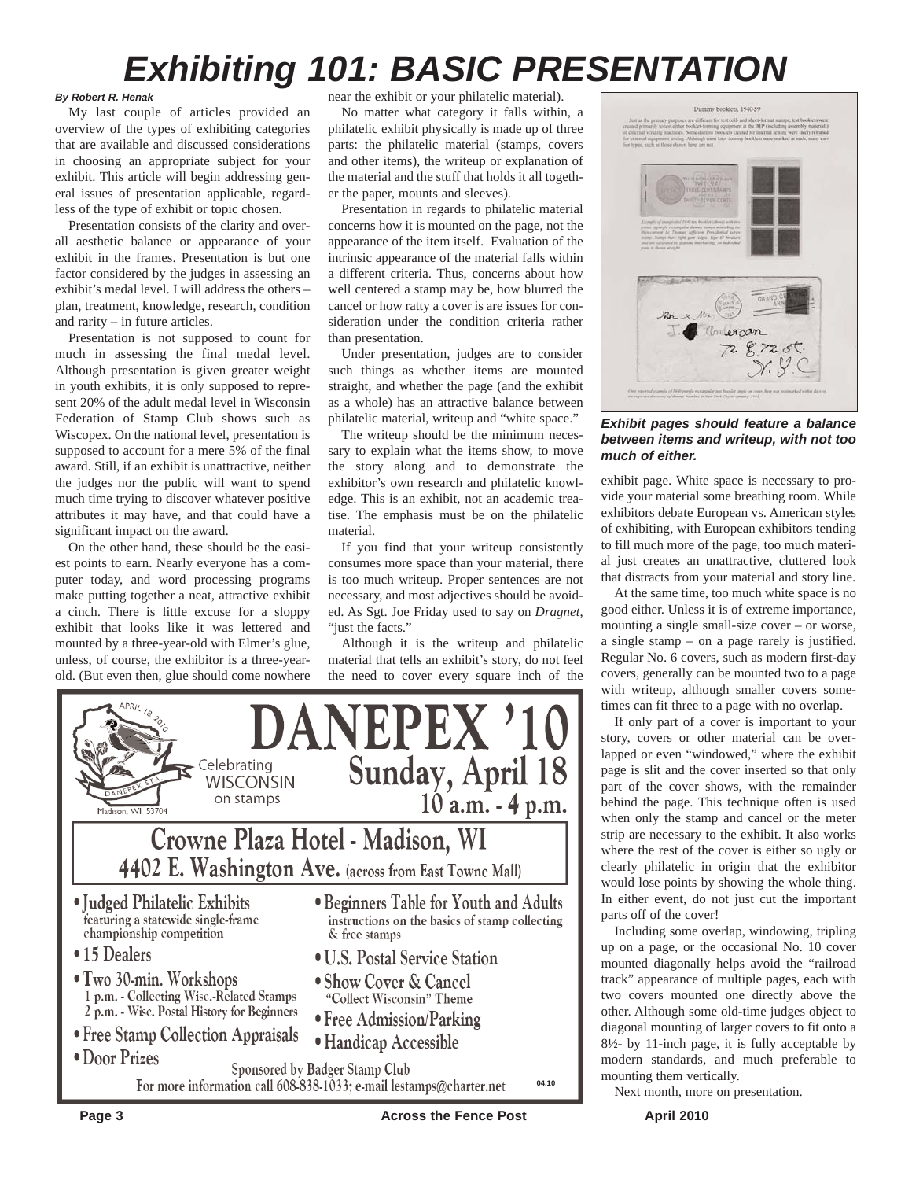# *Exhibiting 101: BASIC PRESENTATION*

#### *By Robert R. Henak*

My last couple of articles provided an overview of the types of exhibiting categories that are available and discussed considerations in choosing an appropriate subject for your exhibit. This article will begin addressing general issues of presentation applicable, regardless of the type of exhibit or topic chosen.

Presentation consists of the clarity and overall aesthetic balance or appearance of your exhibit in the frames. Presentation is but one factor considered by the judges in assessing an exhibit's medal level. I will address the others – plan, treatment, knowledge, research, condition and rarity – in future articles.

Presentation is not supposed to count for much in assessing the final medal level. Although presentation is given greater weight in youth exhibits, it is only supposed to represent 20% of the adult medal level in Wisconsin Federation of Stamp Club shows such as Wiscopex. On the national level, presentation is supposed to account for a mere 5% of the final award. Still, if an exhibit is unattractive, neither the judges nor the public will want to spend much time trying to discover whatever positive attributes it may have, and that could have a significant impact on the award.

On the other hand, these should be the easiest points to earn. Nearly everyone has a computer today, and word processing programs make putting together a neat, attractive exhibit a cinch. There is little excuse for a sloppy exhibit that looks like it was lettered and mounted by a three-year-old with Elmer's glue, unless, of course, the exhibitor is a three-yearold. (But even then, glue should come nowhere near the exhibit or your philatelic material).

No matter what category it falls within, a philatelic exhibit physically is made up of three parts: the philatelic material (stamps, covers and other items), the writeup or explanation of the material and the stuff that holds it all together the paper, mounts and sleeves).

Presentation in regards to philatelic material concerns how it is mounted on the page, not the appearance of the item itself. Evaluation of the intrinsic appearance of the material falls within a different criteria. Thus, concerns about how well centered a stamp may be, how blurred the cancel or how ratty a cover is are issues for consideration under the condition criteria rather than presentation.

Under presentation, judges are to consider such things as whether items are mounted straight, and whether the page (and the exhibit as a whole) has an attractive balance between philatelic material, writeup and "white space."

The writeup should be the minimum necessary to explain what the items show, to move the story along and to demonstrate the exhibitor's own research and philatelic knowledge. This is an exhibit, not an academic treatise. The emphasis must be on the philatelic material.

If you find that your writeup consistently consumes more space than your material, there is too much writeup. Proper sentences are not necessary, and most adjectives should be avoided. As Sgt. Joe Friday used to say on *Dragnet*, "just the facts."

Although it is the writeup and philatelic material that tells an exhibit's story, do not feel the need to cover every square inch of the





*Exhibit pages should feature a balance between items and writeup, with not too much of either.*

exhibit page. White space is necessary to provide your material some breathing room. While exhibitors debate European vs. American styles of exhibiting, with European exhibitors tending to fill much more of the page, too much material just creates an unattractive, cluttered look that distracts from your material and story line.

At the same time, too much white space is no good either. Unless it is of extreme importance, mounting a single small-size cover – or worse, a single stamp – on a page rarely is justified. Regular No. 6 covers, such as modern first-day covers, generally can be mounted two to a page with writeup, although smaller covers sometimes can fit three to a page with no overlap.

If only part of a cover is important to your story, covers or other material can be overlapped or even "windowed," where the exhibit page is slit and the cover inserted so that only part of the cover shows, with the remainder behind the page. This technique often is used when only the stamp and cancel or the meter strip are necessary to the exhibit. It also works where the rest of the cover is either so ugly or clearly philatelic in origin that the exhibitor would lose points by showing the whole thing. In either event, do not just cut the important parts off of the cover!

Including some overlap, windowing, tripling up on a page, or the occasional No. 10 cover mounted diagonally helps avoid the "railroad track" appearance of multiple pages, each with two covers mounted one directly above the other. Although some old-time judges object to diagonal mounting of larger covers to fit onto a 8½- by 11-inch page, it is fully acceptable by modern standards, and much preferable to mounting them vertically.

Next month, more on presentation.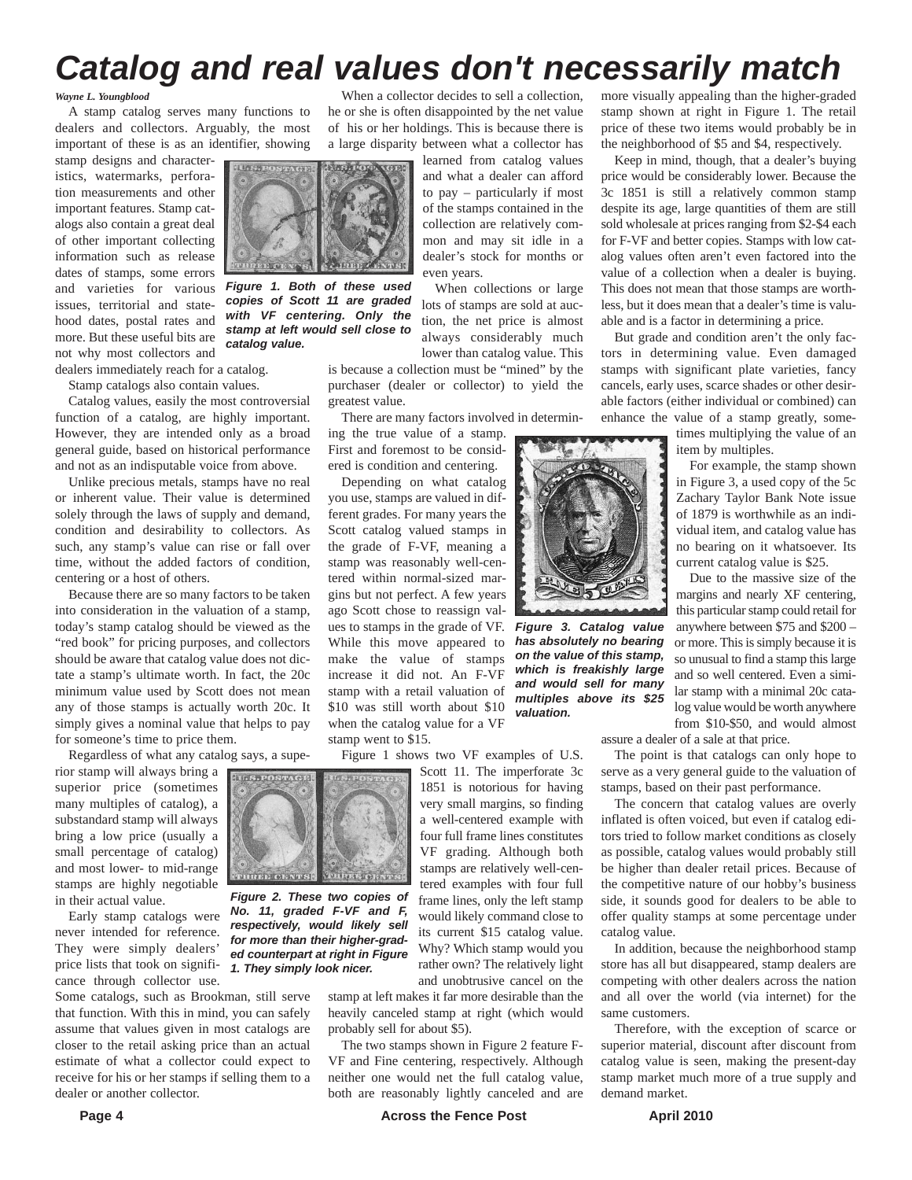# *Catalog and real values don't necessarily match*

*Wayne L. Youngblood*

A stamp catalog serves many functions to dealers and collectors. Arguably, the most important of these is as an identifier, showing

stamp designs and characteristics, watermarks, perforation measurements and other important features. Stamp catalogs also contain a great deal of other important collecting information such as release dates of stamps, some errors and varieties for various issues, territorial and statehood dates, postal rates and more. But these useful bits are not why most collectors and dealers immediately reach for a catalog.

Stamp catalogs also contain values.

Catalog values, easily the most controversial function of a catalog, are highly important. However, they are intended only as a broad general guide, based on historical performance and not as an indisputable voice from above.

Unlike precious metals, stamps have no real or inherent value. Their value is determined solely through the laws of supply and demand, condition and desirability to collectors. As such, any stamp's value can rise or fall over time, without the added factors of condition, centering or a host of others.

Because there are so many factors to be taken into consideration in the valuation of a stamp, today's stamp catalog should be viewed as the "red book" for pricing purposes, and collectors should be aware that catalog value does not dictate a stamp's ultimate worth. In fact, the 20c minimum value used by Scott does not mean any of those stamps is actually worth 20c. It simply gives a nominal value that helps to pay for someone's time to price them.

Regardless of what any catalog says, a supe-

rior stamp will always bring a superior price (sometimes many multiples of catalog), a substandard stamp will always bring a low price (usually a small percentage of catalog) and most lower- to mid-range stamps are highly negotiable in their actual value.

Early stamp catalogs were never intended for reference. They were simply dealers' price lists that took on significance through collector use.

Some catalogs, such as Brookman, still serve that function. With this in mind, you can safely assume that values given in most catalogs are closer to the retail asking price than an actual estimate of what a collector could expect to receive for his or her stamps if selling them to a dealer or another collector.

When a collector decides to sell a collection, he or she is often disappointed by the net value of his or her holdings. This is because there is a large disparity between what a collector has

> learned from catalog values and what a dealer can afford to pay – particularly if most of the stamps contained in the collection are relatively common and may sit idle in a dealer's stock for months or

> > even years. When collections or large lots of stamps are sold at auction, the net price is almost always considerably much lower than catalog value. This

is because a collection must be "mined" by the purchaser (dealer or collector) to yield the greatest value.

There are many factors involved in determin-

ing the true value of a stamp. First and foremost to be considered is condition and centering.

Depending on what catalog you use, stamps are valued in different grades. For many years the Scott catalog valued stamps in the grade of F-VF, meaning a stamp was reasonably well-centered within normal-sized margins but not perfect. A few years ago Scott chose to reassign values to stamps in the grade of VF. While this move appeared to make the value of stamps increase it did not. An F-VF stamp with a retail valuation of \$10 was still worth about \$10 when the catalog value for a VF stamp went to \$15.

Figure 1 shows two VF examples of U.S.

Scott 11. The imperforate 3c 1851 is notorious for having very small margins, so finding a well-centered example with four full frame lines constitutes VF grading. Although both stamps are relatively well-centered examples with four full frame lines, only the left stamp would likely command close to its current \$15 catalog value. Why? Which stamp would you rather own? The relatively light and unobtrusive cancel on the

stamp at left makes it far more desirable than the heavily canceled stamp at right (which would probably sell for about \$5).

The two stamps shown in Figure 2 feature F-VF and Fine centering, respectively. Although neither one would net the full catalog value, both are reasonably lightly canceled and are

more visually appealing than the higher-graded stamp shown at right in Figure 1. The retail price of these two items would probably be in the neighborhood of \$5 and \$4, respectively.

Keep in mind, though, that a dealer's buying price would be considerably lower. Because the 3c 1851 is still a relatively common stamp despite its age, large quantities of them are still sold wholesale at prices ranging from \$2-\$4 each for F-VF and better copies. Stamps with low catalog values often aren't even factored into the value of a collection when a dealer is buying. This does not mean that those stamps are worthless, but it does mean that a dealer's time is valuable and is a factor in determining a price.

But grade and condition aren't the only factors in determining value. Even damaged stamps with significant plate varieties, fancy cancels, early uses, scarce shades or other desirable factors (either individual or combined) can enhance the value of a stamp greatly, some-

times multiplying the value of an item by multiples.

For example, the stamp shown in Figure 3, a used copy of the 5c Zachary Taylor Bank Note issue of 1879 is worthwhile as an individual item, and catalog value has no bearing on it whatsoever. Its current catalog value is \$25.

Due to the massive size of the margins and nearly XF centering, this particular stamp could retail for anywhere between \$75 and \$200 – or more. This is simply because it is so unusual to find a stamp this large and so well centered. Even a similar stamp with a minimal 20c catalog value would be worth anywhere from \$10-\$50, and would almost

assure a dealer of a sale at that price.

The point is that catalogs can only hope to serve as a very general guide to the valuation of stamps, based on their past performance.

The concern that catalog values are overly inflated is often voiced, but even if catalog editors tried to follow market conditions as closely as possible, catalog values would probably still be higher than dealer retail prices. Because of the competitive nature of our hobby's business side, it sounds good for dealers to be able to offer quality stamps at some percentage under catalog value.

In addition, because the neighborhood stamp store has all but disappeared, stamp dealers are competing with other dealers across the nation and all over the world (via internet) for the same customers.

Therefore, with the exception of scarce or superior material, discount after discount from catalog value is seen, making the present-day stamp market much more of a true supply and demand market.



*Figure 1. Both of these used copies of Scott 11 are graded with VF centering. Only the stamp at left would sell close to*

*catalog value.*

**INSSEDSUMO** 

*Figure 2. These two copies of No. 11, graded F-VF and F, respectively, would likely sell for more than their higher-graded counterpart at right in Figure 1. They simply look nicer.*



*Figure 3. Catalog value has absolutely no bearing on the value of this stamp, which is freakishly large and would sell for many multiples above its \$25 valuation.*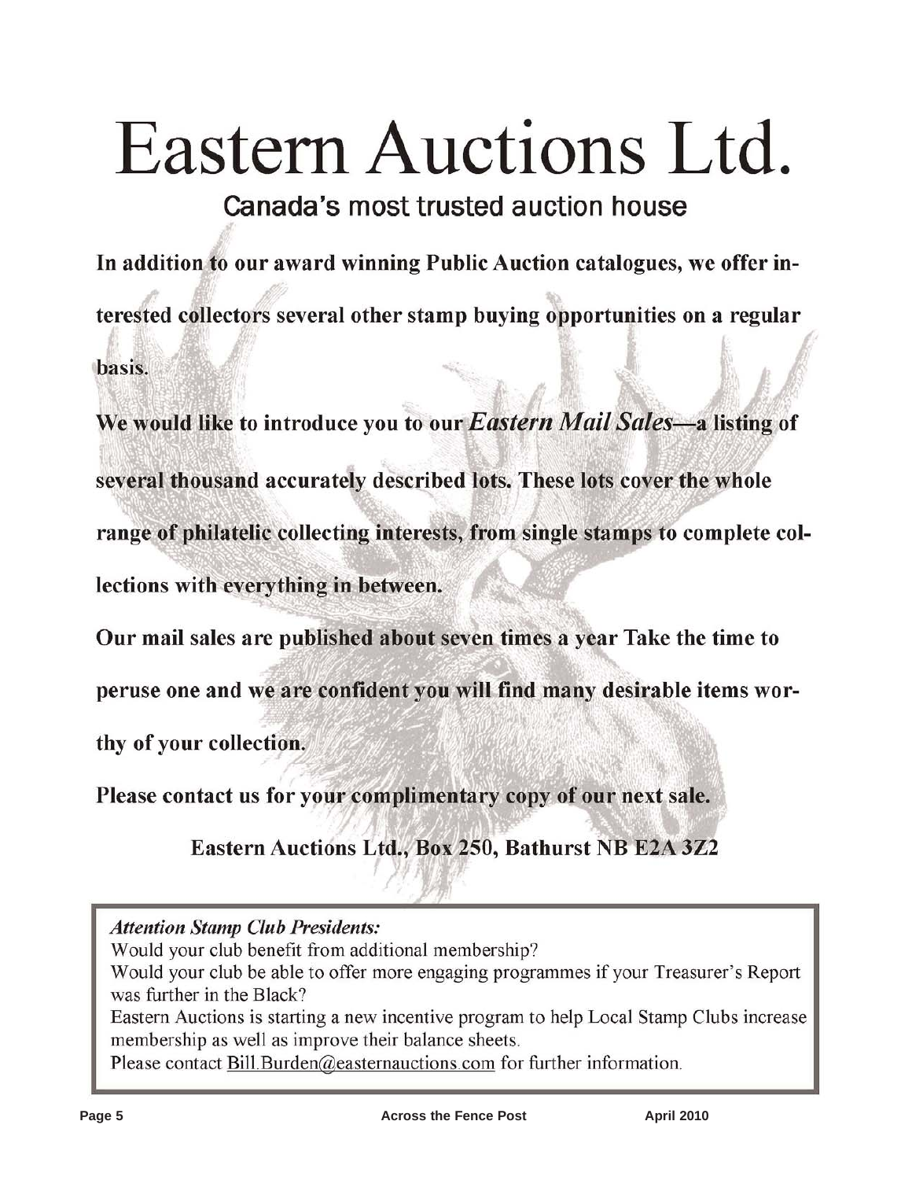# Eastern Auctions Ltd.

Canada's most trusted auction house

In addition to our award winning Public Auction catalogues, we offer interested collectors several other stamp buying opportunities on a regular basis.

We would like to introduce you to our Eastern Mail Sales-a listing of several thousand accurately described lots. These lots cover the whole range of philatelic collecting interests, from single stamps to complete collections with everything in between.

Our mail sales are published about seven times a year Take the time to

peruse one and we are confident you will find many desirable items wor-

thy of your collection.

Please contact us for your complimentary copy of our next sale.

Eastern Auctions Ltd., Box 250, Bathurst NB E2A 3Z2

**Attention Stamp Club Presidents:** 

Would your club benefit from additional membership?

Would your club be able to offer more engaging programmes if your Treasurer's Report was further in the Black?

Eastern Auctions is starting a new incentive program to help Local Stamp Clubs increase membership as well as improve their balance sheets.

Please contact Bill Burden@easternauctions.com for further information.